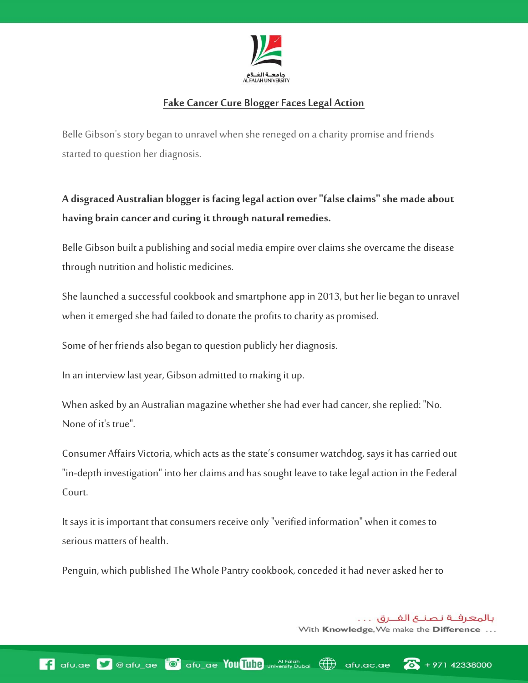

## **Fake Cancer Cure Blogger Faces Legal Action**

Belle Gibson's story began to unravel when she reneged on a charity promise and friends started to question her diagnosis.

**A disgraced Australian blogger is facing legal action over "false claims" she made about having brain cancer and curing it through natural remedies.**

Belle Gibson built a publishing and social media empire over claims she overcame the disease through nutrition and holistic medicines.

She launched a successful cookbook and smartphone app in 2013, but her lie began to unravel when it emerged she had failed to donate the profits to charity as promised.

Some of her friends also began to question publicly her diagnosis.

In an interview last year, [Gibson admitted to making it up.](http://news.sky.com/story/1469992/belle-gibson-admits-lying-about-brain-cancer)

When asked by an Australian magazine whether she had ever had cancer, she replied: "No. None of it's true".

Consumer Affairs Victoria, which acts as the state's consumer watchdog, says it has carried out "in-depth investigation" into her claims and has sought leave to take legal action in the Federal Court.

It says it is important that consumers receive only "verified information" when it comes to serious matters of health.

Penguin, which published The Whole Pantry cookbook, conceded it had never asked her to

بالمعرفــة نصنــع الفــرق . . . With Knowledge, We make the Difference ...

 $+97142338000$